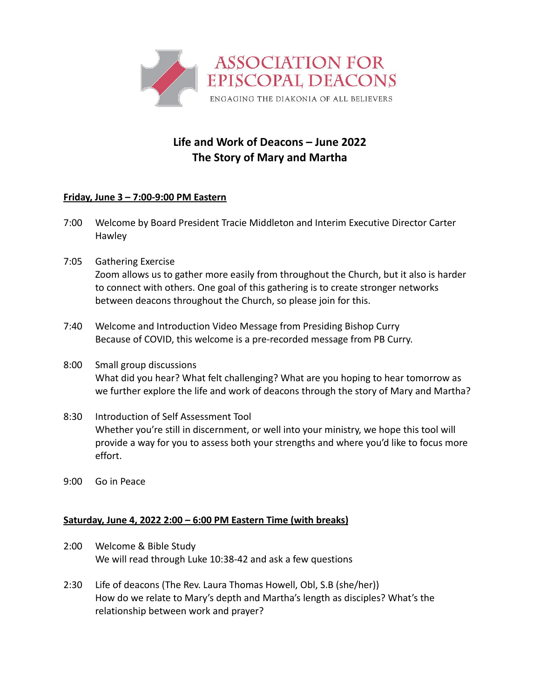

## **Life and Work of Deacons – June 2022 The Story of Mary and Martha**

## **Friday, June 3 – 7:00-9:00 PM Eastern**

- 7:00 Welcome by Board President Tracie Middleton and Interim Executive Director Carter Hawley
- 7:05 Gathering Exercise Zoom allows us to gather more easily from throughout the Church, but it also is harder to connect with others. One goal of this gathering is to create stronger networks between deacons throughout the Church, so please join for this.
- 7:40 Welcome and Introduction Video Message from Presiding Bishop Curry Because of COVID, this welcome is a pre-recorded message from PB Curry.
- 8:00 Small group discussions What did you hear? What felt challenging? What are you hoping to hear tomorrow as we further explore the life and work of deacons through the story of Mary and Martha?
- 8:30 Introduction of Self Assessment Tool Whether you're still in discernment, or well into your ministry, we hope this tool will provide a way for you to assess both your strengths and where you'd like to focus more effort.
- 9:00 Go in Peace

## **Saturday, June 4, 2022 2:00 – 6:00 PM Eastern Time (with breaks)**

- 2:00 Welcome & Bible Study We will read through Luke 10:38-42 and ask a few questions
- 2:30 Life of deacons (The Rev. Laura Thomas Howell, Obl, S.B (she/her)) How do we relate to Mary's depth and Martha's length as disciples? What's the relationship between work and prayer?